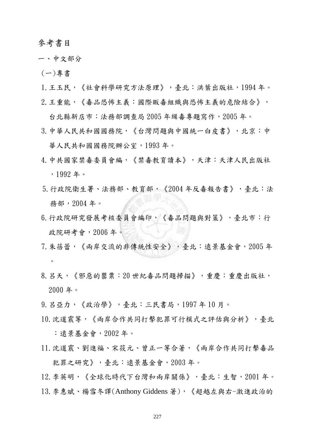## 參考書目

- 一、中文部分
- (一)專書
- 1.王玉民,《社會科學研究方法原理》,臺北:洪葉出版社,1994 年。
- 2.王重能,《毒品恐怖主義:國際販毒組織與恐怖主義的危險結合》,

台北縣新店市:法務部調查局 2005 年緝毒專題寫作,2005 年。

- 3.中華人民共和國國務院,《台灣問題與中國統一白皮書》,北京:中 華人民共和國國務院辦公室,1993 年。
- 4.中共國家禁毒委員會編,《禁毒教育讀本》,天津:天津人民出版社 ,1992 年。
- 5.行政院衛生署、法務部、教育部,《2004 年反毒報告書》,臺北:法 務部,2004 年。
- 6.行政院研究發展考核委員會編印,《毒品問題與對策》,臺北市:行 政院研考會, 2006年。
- 7.朱蓓蕾,《兩岸交流的非傳統性安全》,臺北:遠景基金會,2005 年 。
- 8. 呂天,《邪惡的罌粟: 20 世紀毒品問題掃描》,重慶:重慶出版社, 2000 年。
- 9.呂亞力,《政治學》,臺北:三民書局,1997 年 10 月。
- 10.沈道震等,《兩岸合作共同打擊犯罪可行模式之評估與分析》,臺北 :遠景基金會,2002 年。
- 11.沈道震、劉進福、宋筱元、曾正一等合著,《兩岸合作共同打擊毒品 犯罪之研究》,臺北:遠景基金會,2003 年。

12.李英明,《全球化時代下台灣和兩岸關係》,臺北:生智,2001 年。 13.李惠斌、楊雪冬譯(Anthony Giddens 著),《超越左與右-激進政治的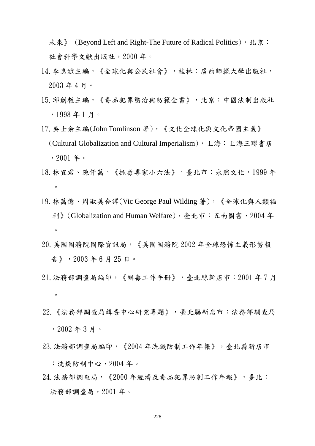未來》 (Beyond Left and Right-The Future of Radical Politics),北京: 社會科學文獻出版社,2000 年。

- 14.李惠斌主編,《全球化與公民社會》,桂林:廣西師範大學出版社, 2003 年 4 月。
- 15.邱創教主編,《毒品犯罪懲治與防範全書》,北京:中國法制出版社 ,1998 年 1 月。
- 17. 吳士余主編(John Tomlinson 著),《文化全球化與文化帝國主義》 (Cultural Globalization and Cultural Imperialism),上海:上海三聯書店 ,2001 年。
- 18. 林宜君、陳仟萬,《抓毒專家小六法》,臺北市:永然文化,1999年  $\circ$
- 19.林萬億、周淑美合譯(Vic George Paul Wilding 著),《全球化與人類福 利》(Globalization and Human Welfare),臺北市:五南圖書,2004年  $\circ$
- 20.美國國務院國際資訊局,《美國國務院 2002 年全球恐怖主義形勢報 告》,2003 年 6 月 25 日。
- 21.法務部調查局編印,《緝毒工作手冊》,臺北縣新店市:2001 年 7 月  $\circ$
- 22.《法務部調查局緝毒中心研究專題》,臺北縣新店市:法務部調查局 ,2002 年 3 月。
- 23.法務部調查局編印,《2004 年洗錢防制工作年報》,臺北縣新店市

:洗錢防制中心,2004 年。

24. 法務部調查局,《2000 年經濟及毒品犯罪防制工作年報》,臺北: 法務部調查局, 2001年。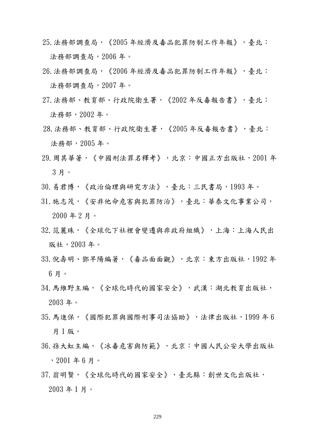25.法務部調查局,《2005 年經濟及毒品犯罪防制工作年報》,臺北: 法務部調查局, 2006年。

- 26.法務部調查局,《2006 年經濟及毒品犯罪防制工作年報》,臺北: 法務部調查局, 2007年。
- 27.法務部、教育部、行政院衛生署,《2002 年反毒報告書》,臺北: 法務部,2002 年。
- 28.法務部、教育部、行政院衛生署,《2005 年反毒報告書》,臺北: 法務部,2005 年。
- 29.周其華著,《中國刑法罪名釋考》,北京:中國正方出版社,2001 年 3 月。
- 30.易君博,《政治倫理與研究方法》,臺北:三民書局,1993 年。
- 31.施志茂,《安非他命危害與犯罪防治》,臺北:華泰文化事業公司, 2000 年 2 月。
- 32.范麗珠,《全球化下社裡會變遷與非政府組織》,上海:上海人民出 版社,2003 年。
- 33.倪壽明、鄧早陽編著,《毒品面面觀》,北京:東方出版社,1992年 6 月。
- 34.馬維野主編,《全球化時代的國家安全》,武漢:湖北教育出版社, 2003 年。
- 35.馬進保,《國際犯罪與國際刑事司法協助》,法律出版社,1999 年 6 月 1 版。
- 36.孫大虹主編,《冰毒危害與防範》,北京:中國人民公安大學出版社 ,2001 年 6 月。
- 37.翁明賢,《全球化時代的國家安全》,臺北縣:創世文化出版社, 2003 年 1 月。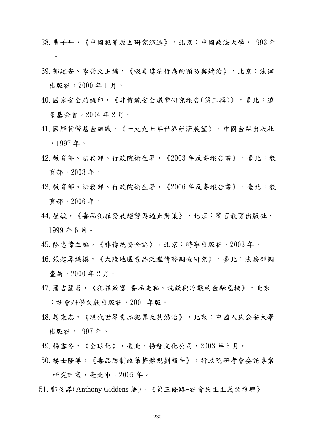- 38.曹子丹,《中國犯罪原因研究綜述》,北京:中國政法大學,1993 年  $\circ$
- 39.郭建安、李榮文主編,《吸毒違法行為的預防與矯治》,北京:法律 出版社,2000 年 1 月。
- 40.國家安全局編印,《非傳統安全威脅研究報告(第三輯)》,臺北:遠 景基金會,2004 年 2 月。
- 41.國際貨幣基金組織,《一九九七年世界經濟展望》,中國金融出版社 ,1997 年。
- 42.教育部、法務部、行政院衛生署,《2003 年反毒報告書》,臺北:教 育部,2003 年。
- 43.教育部、法務部、行政院衛生署,《2006 年反毒報告書》,臺北:教 育部,2006 年。
- 44.崔敏,《毒品犯罪發展趨勢與遏止對策》,北京:警官教育出版社, 1999 年 6 月。
- 45.陸忠偉主編,《非傳統安全論》,北京:時事出版社,2003 年。
- 46.張起厚編撰,《大陸地區毒品泛濫情勢調查研究》,臺北:法務部調 查局,2000 年 2 月。
- 47.蒲吉蘭著,《犯罪致富-毒品走私、洗錢與冷戰的金融危機》,北京 :社會科學文獻出版社,2001 年版。
- 48.趙秉志,《現代世界毒品犯罪及其懲治》,北京:中國人民公安大學 出版社,1997 年。
- 49.楊雪冬,《全球化》,臺北,揚智文化公司,2003 年 6 月。
- 50.楊士隆等,《毒品防制政策整體規劃報告》,行政院研考會委託專案 研究計畫,臺北市:2005 年。
- 51.鄭戈譯(Anthony Giddens 著),《第三條路-社會民主主義的復興》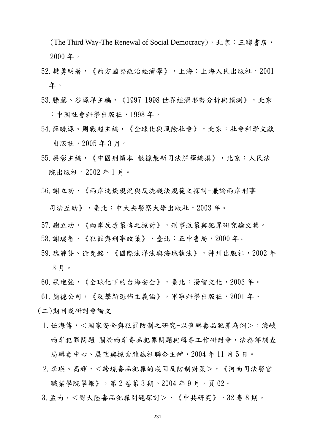(The Third Way-The Renewal of Social Democracy),北京:三聯書店, 2000 年。

- 52.樊勇明著,《西方國際政治經濟學》,上海:上海人民出版社,2001 年。
- $53.$ 滕藤、谷源洋主編,《1997-1998 世界經濟形勢分析與預測》, 北京 :中國社會科學出版社,1998 年。
- 54.薛曉源、周戰超主編,《全球化與風險社會》,北京:社會科學文獻 出版社,2005 年 3 月。
- 55.蔡彰主編,《中國刑讀本-根據最新司法解釋編撰》,北京:人民法 院出版社,2002 年 1 月。
- 56.謝立功,《兩岸洗錢現況與反洗錢法規範之探討-兼論兩岸刑事

司法互助》,臺北:中大央警察大學出版社,2003年。

- 57.謝立功,《兩岸反毒策略之探討》,刑事政策與犯罪研究論文集。
- 58.謝瑞智,《犯罪與刑事政策》,臺北:正中書局,2000 年。
- 59.魏靜芬、徐克銘,《國際法洋法與海域執法》,神州出版社,2002 年 3 月。
- 60.蘇進強,《全球化下的台海安全》,臺北:揚智文化,2003 年。
- 61.蘭德公司,《反擊新恐怖主義論》,軍事科學出版社,2001 年。
- (二)期刊或研討會論文
	- 1.任海傳,<國家安全與犯罪防制之研究-以查緝毒品犯罪為例>,海峽 兩岸犯罪問題-關於兩岸毒品犯罪問題與緝毒工作研討會,法務部調查 局緝毒中心、展望與探索雜誌社聯合主辦,2004 年 11 月 5 日。
	- 2. 李瑛、高輝,<跨境毒品犯罪的成因及防制對策>,《河南司法警官 職業學院學報》,第2卷第3期。2004年9月,頁62。
	- 3. 孟南, <對大陸毒品犯罪問題探討>, 《中共研究》, 32 卷 8 期。

231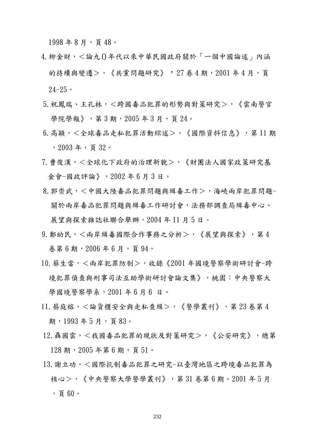1998年8月,頁48。

- 4. 柳金財, <論九() 年代以來中華民國政府關於「一個中國論述」內涵 的持續與變遷>,《共黨問題研究》,27 卷 4 期,2001 年 4 月,頁  $24 - 25$
- 5.祝鳳瑞、王孔林,<跨國毒品犯罪的形勢與對策研究>,《雲南警官 學院學報》,第3期,2005年3月,頁24。
- 6.高穎,<全球毒品走私犯罪活動綜述>,《國際資料信息》,第 11 期 ,2003 年,頁 32。
- 7. 曹俊漢,<全球化下政府的治理新貌>,《財團法人國家政策研究基 金會-國政評論》,2002 年 6 月 3 日。
- 8.郭崇武,<中國大陸毒品犯罪問題與緝毒工作>,海峽兩岸犯罪問題-關於兩岸毒品犯罪問題與緝毒工作研討會,法務部調查局緝毒中心、 展望與探索雜誌社聯合舉辦,2004 年 11 月 5 日。
- $9.$  鄭幼民,  $<$  兩岸 緝毒國際合作事務之分析>, 《展望與探索》, 第4 卷第 6 期,2006 年 6 月,頁 94。
- 10. 蔡生當,<兩岸犯罪防制>,收錄《2001 年國境警察學術研討會-跨 境犯罪偵查與刑事司法互助學術研討會論文集》,桃園:中央警察大 學國境警察學系, 2001 年6月6日。
- 11. 蔡庭榕, <論貨櫃安全與走私查緝>, 《警學叢刊》, 第 23 卷第 4 期, 1993年5月, 頁83。
- 12.聶國雲,<我國毒品犯罪的現狀及對策研究>,《公安研究》,總第 128 期, 2005 年第 6 期, 頁 51。
- 13. 謝立功,<國際抗制毒品犯罪之研究-以臺灣地區之跨境毒品犯罪為 核心>,《中央警察大學警學叢刊》,第 31 卷第 6 期。2001 年 5 月 ,頁 60。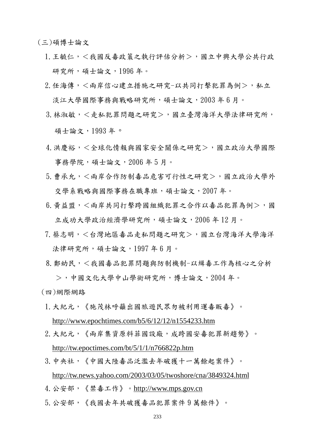(三)碩博士論文

- 1. 王毓仁,<我國反毒政策之執行評估分析>,國立中興大學公共行政 研究所,碩士論文,1996年。
- $2.$  任海傳, < 兩岸信心建立措施之研究-以共同打擊犯罪為例>, 私立 淡江大學國際事務與戰略研究所,碩士論文,2003年6月。
- 3. 林淑敏,<走私犯罪問題之研究>,國立臺灣海洋大學法律研究所, 碩士論文,1993 年。
- 4. 洪慶裕, <全球化情報與國家安全關係之研究>, 國立政治大學國際 事務學院,碩士論文,2006 年 5 月。
- 5. 曹承允, < 兩岸合作防制毒品危害可行性之研究>, 國立政治大學外 交學系戰略與國際事務在職專班,碩士論文,2007年。
- $6.$  黃益盟, < 兩岸共同打擊跨國組織犯罪之合作以毒品犯罪為例>, 國 立成功大學政治經濟學研究所,碩士論文,2006年12月。
- 7. 蔡志明,<台灣地區毒品走私問題之研究>,國立台灣海洋大學海洋 法律研究所,碩士論文,1997年6月。
- 8. 鄭幼民,<我國毒品犯罪問題與防制機制-以緝毒工作為核心之分析

>,中國文化大學中山學術研究所,博士論文,2004 年。 (四)網際網路

- 1.大紀元,《施茂林呼籲出國旅遊民眾勿被利用運毒販毒》。 http://www.epochtimes.com/b5/6/12/12/n1554233.htm
- 2.大紀元,《兩岸集資原料菲國設廠,成跨國安毒犯罪新趨勢》。 http://tw.epoctimes.com/bt/5/1/1/n766822p.htm
- 3.中央社,《中國大陸毒品泛濫去年破獲十一萬餘起案件》。 http://tw.news.yahoo.com/2003/03/05/twoshore/cna/3849324.html
- 4.公安部,《禁毒工作》。http://www.mps.gov.cn
- 5.公安部,《我國去年共破獲毒品犯罪案件 9 萬餘件》。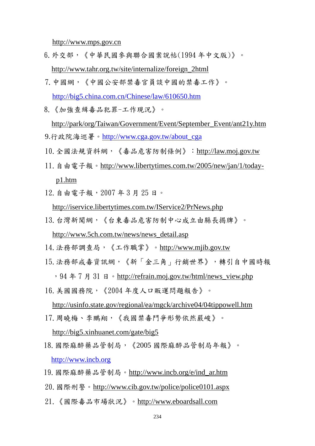http://www.mps.gov.cn

- 6.外交部,《中華民國參與聯合國案說帖(1994 年中文版)》。 http://www.tahr.org.tw/site/internalize/foreign\_2html
- 7.中國網,《中國公安部禁毒官員談中國的禁毒工作》。 http://big5.china.com.cn/Chinese/law/610650.htm
- 8.《加強查緝毒品犯罪-工作現況》。 http://park/org/Taiwan/Government/Event/September\_Event/ant21y.htm 9.行政院海巡署。http://www.cga.gov.tw/about\_cga
- 10.全國法規資料網,《毒品危害防制條例》:http://law.moj.gov.tw
- 11.自由電子報。http://www.libertytimes.com.tw/2005/new/jan/1/todayp1.htm
- 12.自由電子報,2007 年 3 月 25 日。

http://iservice.libertytimes.com.tw/IService2/PrNews.php

13.台灣新聞網,《台東毒品危害防制中心成立由縣長揭牌》。

http://www.5ch.com.tw/news/news\_detail.asp

- 14.法務部調查局,《工作職掌》。http://www.mjib.gov.tw
- 15.法務部戒毒資訊網,《新「金三角」行銷世界》,轉引自中國時報

,94 年 7 月 31 日。http://refrain.moj.gov.tw/html/news\_view.php 16.美國國務院,《2004 年度人口販運問題報告》。

http://usinfo.state.gov/regional/ea/mgck/archive04/04tippowell.htm

17. 周曉梅、李鵬翔, 《我國禁毒鬥爭形勢依然嚴峻》。

http://big5.xinhuanet.com/gate/big5

- 18.國際麻醉藥品管制局,《2005 國際麻醉品管制局年報》。 http://www.incb.org
- 19.國際麻醉藥品管制局。http://www.incb.org/e/ind\_ar.htm
- 20.國際刑警。http://www.cib.gov.tw/police/police0101.aspx
- 21.《國際毒品市場狀況》。http://www.eboardsall.com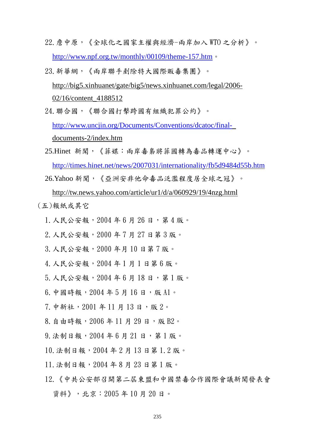- 22.詹中原,《全球化之國家主權與經濟-兩岸加入 WTO 之分析》。 http://www.npf.org.tw/monthly/00109/theme-157.htm。
- 23.新華網,《兩岸聯手剷除特大國際販毒集團》。 http://big5.xinhuanet/gate/big5/news.xinhuanet.com/legal/2006- 02/16/content\_4188512
- 24.聯合國,《聯合國打擊跨國有組織犯罪公約》。 http://www.uncjin.org/Documents/Conventions/dcatoc/finaldocuments-2/index.htm
- 25.Hinet 新聞,《菲媒:兩岸毒梟將菲國轉為毒品轉運中心》。 http://times.hinet.net/news/2007031/internationality/fb5d9484d55b.htm
- 26.Yahoo 新聞,《亞洲安非他命毒品泛濫程度居全球之冠》。

http://tw.news.yahoo.com/article/ur1/d/a/060929/19/4nzg.html

(五)報紙或其它

- 1.人民公安報,2004 年 6 月 26 日,第 4 版。
- 2.人民公安報,2000 年 7 月 27 日第 3 版。
- 3.人民公安報,2000 年月 10 日第 7 版。
- 4.人民公安報,2004 年 1 月 1 日第 6 版。
- 5.人民公安報,2004 年 6 月 18 日,第 1 版。
- 6. 中國時報, 2004年5月16日,版 A1。
- 7.中新社,2001 年 11 月 13 日,版 2。
- 8. 自由時報, 2006年11月29日, 版 B2。
- 9.法制日報,2004 年 6 月 21 日,第 1 版。
- 10.法制日報,2004 年 2 月 13 日第 1.2 版。
- 11.法制日報,2004 年 8 月 23 日第 1 版。
- 12.《中共公安部召開第二屆東盟和中國禁毒合作國際會議新聞發表會 資料》,北京:2005 年 10 月 20 日。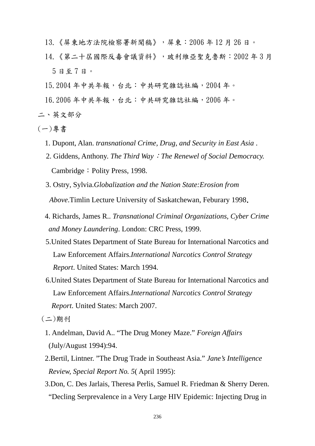- 13.《屏東地方法院檢察署新聞稿》,屏東:2006 年 12 月 26 日。
- 14.《第二十屆國際反毒會議資料》,玻利維亞聖克魯斯:2002 年 3 月 5 日至 7 日。
- 15.2004 年中共年報,台北:中共研究雜誌社編,2004 年。
- 16.2006 年中共年報,台北:中共研究雜誌社編,2006 年。
- 二、英文部分
- (一)專書
	- 1. Dupont, Alan. *transnational Crime, Drug, and Security in East Asia* .
	- 2. Giddens, Anthony. *The Third Way*:*The Renewel of Social Democracy.* Cambridge: Polity Press, 1998.
	- 3. Ostry, Sylvia.*Globalization and the Nation State:Erosion from Above*.Timlin Lecture University of Saskatchewan, Feburary 1998.
	- 4. Richards, James R.. *Transnational Criminal Organizations, Cyber Crime and Money Laundering*. London: CRC Press, 1999.
	- 5.United States Department of State Bureau for International Narcotics and Law Enforcement Affairs.*International Narcotics Control Strategy Report*. United States: March 1994.
	- 6.United States Department of State Bureau for International Narcotics and Law Enforcement Affairs.*International Narcotics Control Strategy Report*. United States: March 2007.

(二)期刊

- 1. Andelman, David A.. "The Drug Money Maze." *Foreign Affairs* (July/August 1994):94.
- 2.Bertil, Lintner. "The Drug Trade in Southeast Asia." *Jane's Intelligence Review, Special Report No. 5*( April 1995):
- 3.Don, C. Des Jarlais, Theresa Perlis, Samuel R. Friedman & Sherry Deren. "Decling Serprevalence in a Very Large HIV Epidemic: Injecting Drug in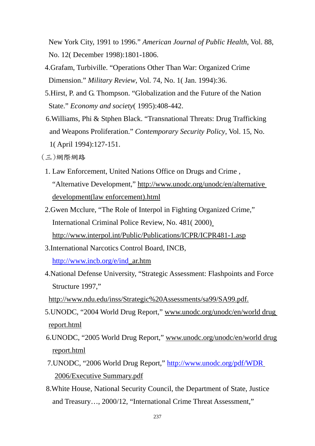New York City, 1991 to 1996." *American Journal of Public Health*, Vol. 88, No. 12( December 1998):1801-1806.

- 4.Grafam, Turbiville. "Operations Other Than War: Organized Crime Dimension." *Military Review*, Vol. 74, No. 1( Jan. 1994):36.
- 5.Hirst, P. and G. Thompson. "Globalization and the Future of the Nation State." *Economy and society*( 1995):408-442.
- 6.Williams, Phi & Stphen Black. "Transnational Threats: Drug Trafficking and Weapons Proliferation." *Contemporary Security Policy*, Vol. 15, No. 1( April 1994):127-151.
- (三)網際網路
	- 1. Law Enforcement, United Nations Office on Drugs and Crime , "Alternative Development," http://www.unodc.org/unodc/en/alternative development(law enforcement).html
	- 2.Gwen Mcclure, "The Role of Interpol in Fighting Organized Crime," International Criminal Police Review, No. 481( 2000) http://www.interpol.int/Public/Publications/ICPR/ICPR481-1.asp
	- 3.International Narcotics Control Board, INCB, http://www.incb.org/e/ind\_ar.htm
- 4.National Defense University, "Strategic Assessment: Flashpoints and Force Structure 1997,"

http://www.ndu.edu/inss/Strategic%20Assessments/sa99/SA99.pdf.

- 5.UNODC, "2004 World Drug Report," www.unodc.org/unodc/en/world drug report.html
- 6.UNODC, "2005 World Drug Report," www.unodc.org/unodc/en/world drug report.html
- 7.UNODC, "2006 World Drug Report," http://www.unodc.org/pdf/WDR 2006/Executive Summary.pdf
- 8.White House, National Security Council, the Department of State, Justice and Treasury…, 2000/12, "International Crime Threat Assessment,"